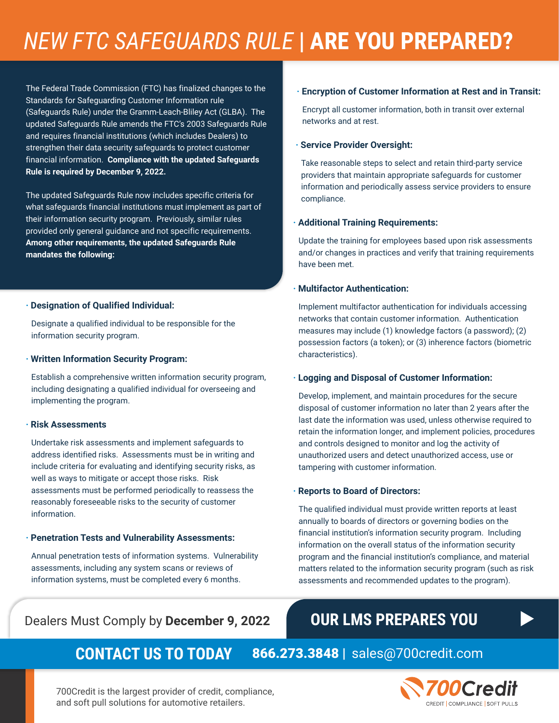## *NEW FTC SAFEGUARDS RULE* **| ARE YOU PREPARED?**

The Federal Trade Commission (FTC) has finalized changes to the Standards for Safeguarding Customer Information rule (Safeguards Rule) under the Gramm-Leach-Bliley Act (GLBA). The updated Safeguards Rule amends the FTC's 2003 Safeguards Rule and requires financial institutions (which includes Dealers) to strengthen their data security safeguards to protect customer financial information. **Compliance with the updated Safeguards Rule is required by December 9, 2022.**

The updated Safeguards Rule now includes specific criteria for what safeguards financial institutions must implement as part of their information security program. Previously, similar rules provided only general guidance and not specific requirements. **Among other requirements, the updated Safeguards Rule mandates the following:**

#### **· Designation of Qualified Individual:**

Designate a qualified individual to be responsible for the information security program.

#### **· Written Information Security Program:**

Establish a comprehensive written information security program, including designating a qualified individual for overseeing and implementing the program.

#### **· Risk Assessments**

Undertake risk assessments and implement safeguards to address identified risks. Assessments must be in writing and include criteria for evaluating and identifying security risks, as well as ways to mitigate or accept those risks. Risk assessments must be performed periodically to reassess the reasonably foreseeable risks to the security of customer information.

#### **· Penetration Tests and Vulnerability Assessments:**

Annual penetration tests of information systems. Vulnerability assessments, including any system scans or reviews of information systems, must be completed every 6 months.

### Dealers Must Comply by **December 9, 2022**

#### **· Encryption of Customer Information at Rest and in Transit:**

Encrypt all customer information, both in transit over external networks and at rest.

#### **· Service Provider Oversight:**

Take reasonable steps to select and retain third-party service providers that maintain appropriate safeguards for customer information and periodically assess service providers to ensure compliance.

#### **· Additional Training Requirements:**

Update the training for employees based upon risk assessments and/or changes in practices and verify that training requirements have been met.

#### **· Multifactor Authentication:**

Implement multifactor authentication for individuals accessing networks that contain customer information. Authentication measures may include (1) knowledge factors (a password); (2) possession factors (a token); or (3) inherence factors (biometric characteristics).

#### **· Logging and Disposal of Customer Information:**

Develop, implement, and maintain procedures for the secure disposal of customer information no later than 2 years after the last date the information was used, unless otherwise required to retain the information longer, and implement policies, procedures and controls designed to monitor and log the activity of unauthorized users and detect unauthorized access, use or tampering with customer information.

#### **· Reports to Board of Directors:**

The qualified individual must provide written reports at least annually to boards of directors or governing bodies on the financial institution's information security program. Including information on the overall status of the information security program and the financial institution's compliance, and material matters related to the information security program (such as risk assessments and recommended updates to the program).

## **OUR LMS PREPARES YOU**

## **CONTACT US TO TODAY** 866.273.3848 | sales@700credit.com



700Credit is the largest provider of credit, compliance, and soft pull solutions for automotive retailers.